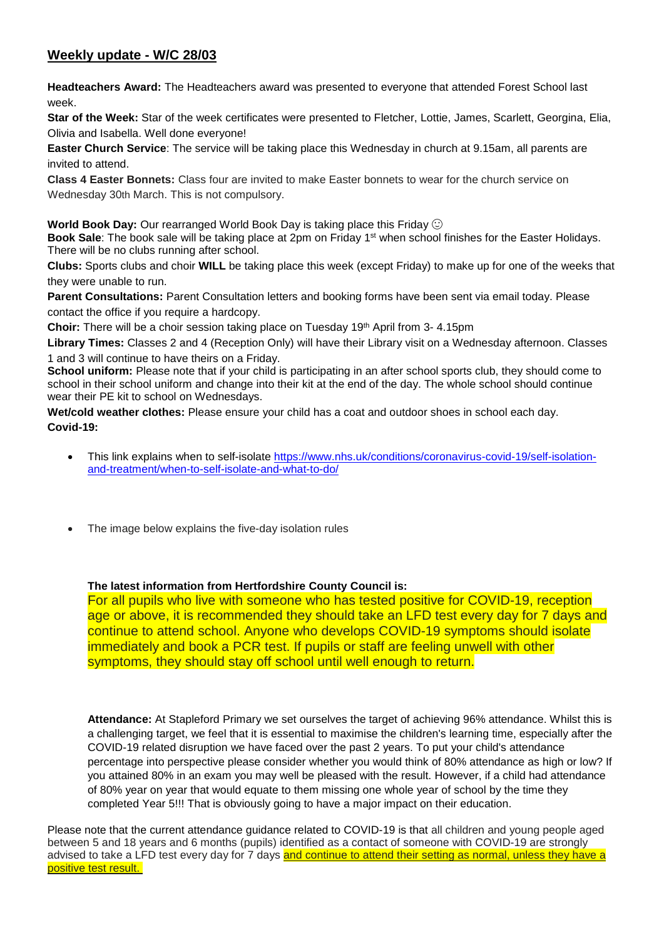## **Weekly update - W/C 28/03**

**Headteachers Award:** The Headteachers award was presented to everyone that attended Forest School last week.

**Star of the Week:** Star of the week certificates were presented to Fletcher, Lottie, James, Scarlett, Georgina, Elia, Olivia and Isabella. Well done everyone!

**Easter Church Service**: The service will be taking place this Wednesday in church at 9.15am, all parents are invited to attend.

**Class 4 Easter Bonnets:** Class four are invited to make Easter bonnets to wear for the church service on Wednesday 30th March. This is not compulsory.

**World Book Day:** Our rearranged World Book Day is taking place this Friday

**Book Sale**: The book sale will be taking place at 2pm on Friday 1<sup>st</sup> when school finishes for the Easter Holidays. There will be no clubs running after school.

**Clubs:** Sports clubs and choir **WILL** be taking place this week (except Friday) to make up for one of the weeks that they were unable to run.

**Parent Consultations:** Parent Consultation letters and booking forms have been sent via email today. Please contact the office if you require a hardcopy.

**Choir:** There will be a choir session taking place on Tuesday 19th April from 3- 4.15pm

**Library Times:** Classes 2 and 4 (Reception Only) will have their Library visit on a Wednesday afternoon. Classes 1 and 3 will continue to have theirs on a Friday.

**School uniform:** Please note that if your child is participating in an after school sports club, they should come to school in their school uniform and change into their kit at the end of the day. The whole school should continue wear their PE kit to school on Wednesdays.

**Wet/cold weather clothes:** Please ensure your child has a coat and outdoor shoes in school each day. **Covid-19:** 

- This link explains when to self-isolate [https://www.nhs.uk/conditions/coronavirus-covid-19/self-isolation](https://www.nhs.uk/conditions/coronavirus-covid-19/self-isolation-and-treatment/when-to-self-isolate-and-what-to-do/)[and-treatment/when-to-self-isolate-and-what-to-do/](https://www.nhs.uk/conditions/coronavirus-covid-19/self-isolation-and-treatment/when-to-self-isolate-and-what-to-do/)
- The image below explains the five-day isolation rules

**The latest information from Hertfordshire County Council is:**

For all pupils who live with someone who has tested positive for COVID-19, reception age or above, it is recommended they should take an LFD test every day for 7 days and continue to attend school. Anyone who develops COVID-19 symptoms should isolate immediately and book a PCR test. If pupils or staff are feeling unwell with other symptoms, they should stay off school until well enough to return.

**Attendance:** At Stapleford Primary we set ourselves the target of achieving 96% attendance. Whilst this is a challenging target, we feel that it is essential to maximise the children's learning time, especially after the COVID-19 related disruption we have faced over the past 2 years. To put your child's attendance percentage into perspective please consider whether you would think of 80% attendance as high or low? If you attained 80% in an exam you may well be pleased with the result. However, if a child had attendance of 80% year on year that would equate to them missing one whole year of school by the time they completed Year 5!!! That is obviously going to have a major impact on their education.

Please note that the current attendance guidance related to COVID-19 is that all children and young people aged between 5 and 18 years and 6 months (pupils) identified as a contact of someone with COVID-19 are strongly advised to take a LFD test every day for 7 days and continue to attend their setting as normal, unless they have a positive test result.